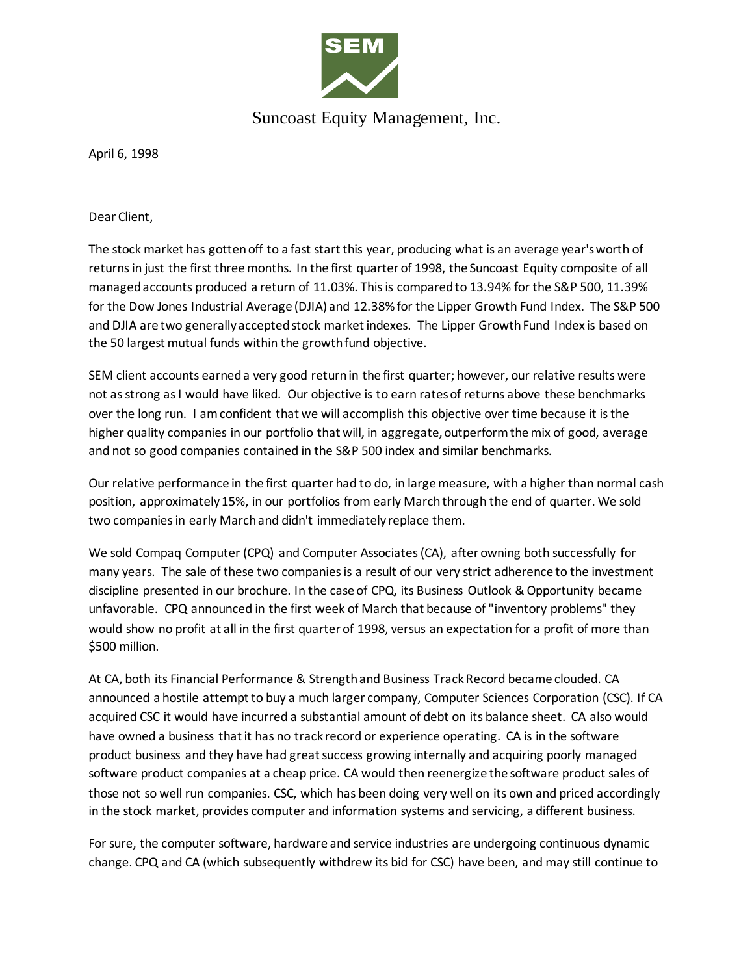

## Suncoast Equity Management, Inc.

April 6, 1998

Dear Client,

The stock market has gotten off to a fast start this year, producing what is an average year's worth of returns in just the first three months. In the first quarter of 1998, the Suncoast Equity composite of all managed accounts produced a return of 11.03%. This is compared to 13.94% for the S&P 500, 11.39% for the Dow Jones Industrial Average (DJIA) and 12.38% for the Lipper Growth Fund Index. The S&P 500 and DJIA are two generally accepted stock market indexes. The Lipper Growth Fund Index is based on the 50 largest mutual funds within the growth fund objective.

SEM client accounts earned a very good return in the first quarter; however, our relative results were not as strong as I would have liked. Our objective is to earn rates of returns above these benchmarks over the long run. I am confident that we will accomplish this objective over time because it is the higher quality companies in our portfolio that will, in aggregate, outperform the mix of good, average and not so good companies contained in the S&P 500 index and similar benchmarks.

Our relative performance in the first quarter had to do, in large measure, with a higher than normal cash position, approximately 15%, in our portfolios from early March through the end of quarter. We sold two companies in early March and didn't immediately replace them.

We sold Compaq Computer (CPQ) and Computer Associates (CA), after owning both successfully for many years. The sale of these two companies is a result of our very strict adherence to the investment discipline presented in our brochure. In the case of CPQ, its Business Outlook & Opportunity became unfavorable. CPQ announced in the first week of March that because of "inventory problems" they would show no profit at all in the first quarter of 1998, versus an expectation for a profit of more than \$500 million.

At CA, both its Financial Performance & Strength and Business Track Record became clouded. CA announced a hostile attempt to buy a much larger company, Computer Sciences Corporation (CSC). If CA acquired CSC it would have incurred a substantial amount of debt on its balance sheet. CA also would have owned a business that it has no track record or experience operating. CA is in the software product business and they have had great success growing internally and acquiring poorly managed software product companies at a cheap price. CA would then reenergize the software product sales of those not so well run companies. CSC, which has been doing very well on its own and priced accordingly in the stock market, provides computer and information systems and servicing, a different business.

For sure, the computer software, hardware and service industries are undergoing continuous dynamic change. CPQ and CA (which subsequently withdrew its bid for CSC) have been, and may still continue to